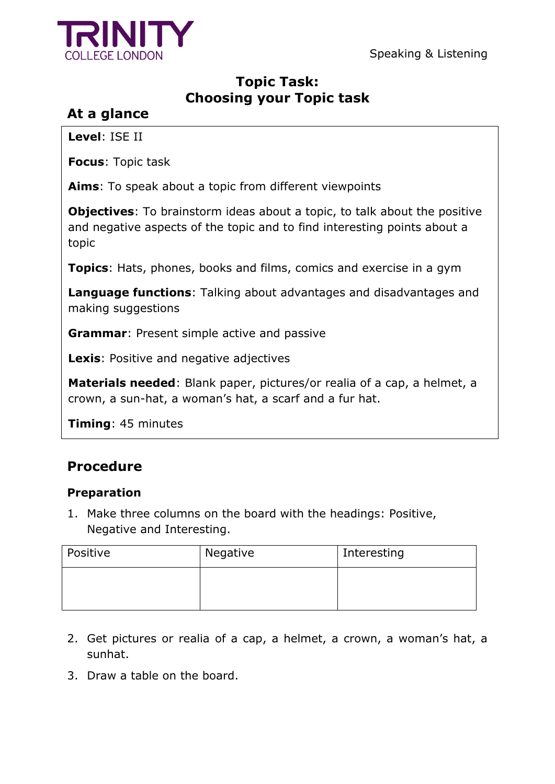Speaking & Listening



## **Topic Task: Choosing your Topic task**

# **At a glance**

**Level**: ISE II

**Focus**: Topic task

**Aims**: To speak about a topic from different viewpoints

**Objectives**: To brainstorm ideas about a topic, to talk about the positive and negative aspects of the topic and to find interesting points about a topic

**Topics**: Hats, phones, books and films, comics and exercise in a gym

**Language functions**: Talking about advantages and disadvantages and making suggestions

**Grammar**: Present simple active and passive

**Lexis**: Positive and negative adjectives

**Materials needed**: Blank paper, pictures/or realia of a cap, a helmet, a crown, a sun-hat, a woman's hat, a scarf and a fur hat.

**Timing**: 45 minutes

# **Procedure**

### **Preparation**

1. Make three columns on the board with the headings: Positive, Negative and Interesting.

| Positive | Negative | Interesting |
|----------|----------|-------------|
|          |          |             |
|          |          |             |

- 2. Get pictures or realia of a cap, a helmet, a crown, a woman's hat, a sunhat.
- 3. Draw a table on the board.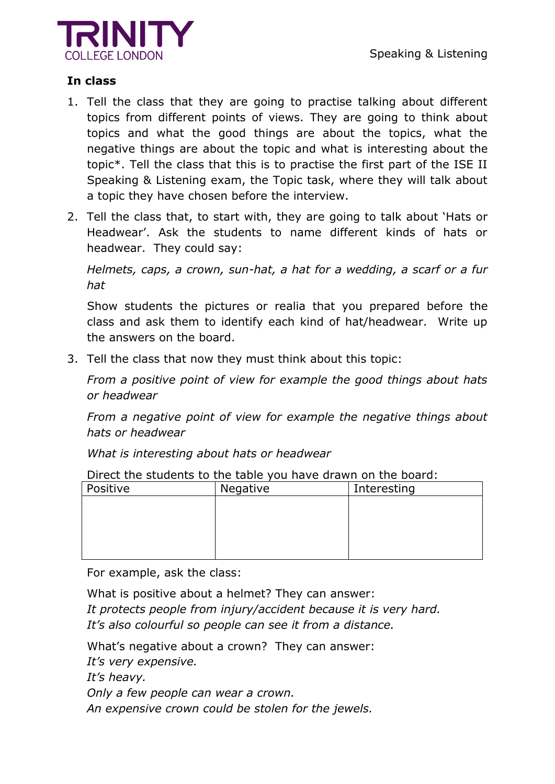



### **In class**

- 1. Tell the class that they are going to practise talking about different topics from different points of views. They are going to think about topics and what the good things are about the topics, what the negative things are about the topic and what is interesting about the topic\*. Tell the class that this is to practise the first part of the ISE II Speaking & Listening exam, the Topic task, where they will talk about a topic they have chosen before the interview.
- 2. Tell the class that, to start with, they are going to talk about 'Hats or Headwear'. Ask the students to name different kinds of hats or headwear. They could say:

*Helmets, caps, a crown, sun-hat, a hat for a wedding, a scarf or a fur hat*

Show students the pictures or realia that you prepared before the class and ask them to identify each kind of hat/headwear. Write up the answers on the board.

3. Tell the class that now they must think about this topic:

*From a positive point of view for example the good things about hats or headwear*

*From a negative point of view for example the negative things about hats or headwear* 

*What is interesting about hats or headwear* 

| <u>Direct the students to the table you have drawn on the board.</u> |                 |             |
|----------------------------------------------------------------------|-----------------|-------------|
| Positive                                                             | <b>Negative</b> | Interesting |
|                                                                      |                 |             |
|                                                                      |                 |             |
|                                                                      |                 |             |
|                                                                      |                 |             |
|                                                                      |                 |             |

Direct the students to the table you have drawn on the board:

For example, ask the class:

What is positive about a helmet? They can answer: *It protects people from injury/accident because it is very hard. It's also colourful so people can see it from a distance.* 

What's negative about a crown? They can answer:

*It's very expensive.*

*It's heavy.*

*Only a few people can wear a crown.*

*An expensive crown could be stolen for the jewels.*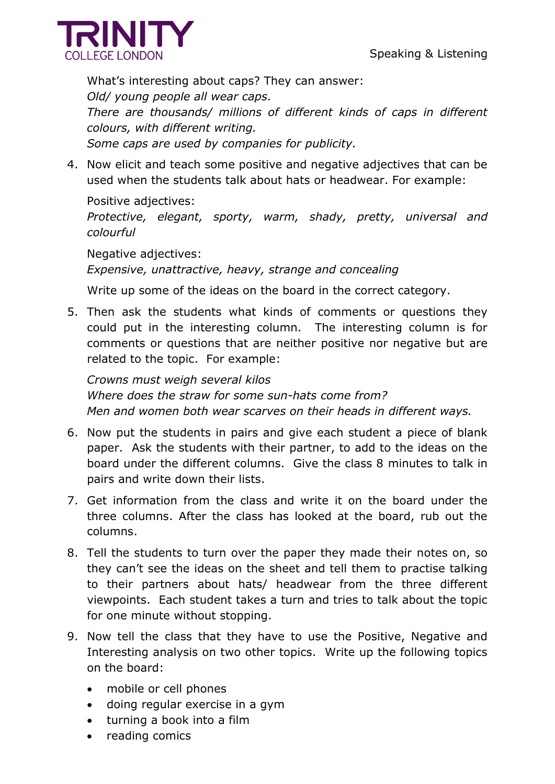

What's interesting about caps? They can answer: *Old/ young people all wear caps. There are thousands/ millions of different kinds of caps in different colours, with different writing. Some caps are used by companies for publicity.*

4. Now elicit and teach some positive and negative adjectives that can be used when the students talk about hats or headwear. For example:

Positive adjectives: *Protective, elegant, sporty, warm, shady, pretty, universal and colourful*

Negative adjectives: *Expensive, unattractive, heavy, strange and concealing* 

Write up some of the ideas on the board in the correct category.

5. Then ask the students what kinds of comments or questions they could put in the interesting column. The interesting column is for comments or questions that are neither positive nor negative but are related to the topic. For example:

*Crowns must weigh several kilos Where does the straw for some sun-hats come from? Men and women both wear scarves on their heads in different ways.*

- 6. Now put the students in pairs and give each student a piece of blank paper. Ask the students with their partner, to add to the ideas on the board under the different columns. Give the class 8 minutes to talk in pairs and write down their lists.
- 7. Get information from the class and write it on the board under the three columns. After the class has looked at the board, rub out the columns.
- 8. Tell the students to turn over the paper they made their notes on, so they can't see the ideas on the sheet and tell them to practise talking to their partners about hats/ headwear from the three different viewpoints. Each student takes a turn and tries to talk about the topic for one minute without stopping.
- 9. Now tell the class that they have to use the Positive, Negative and Interesting analysis on two other topics. Write up the following topics on the board:
	- mobile or cell phones
	- doing regular exercise in a gym
	- turning a book into a film
	- reading comics